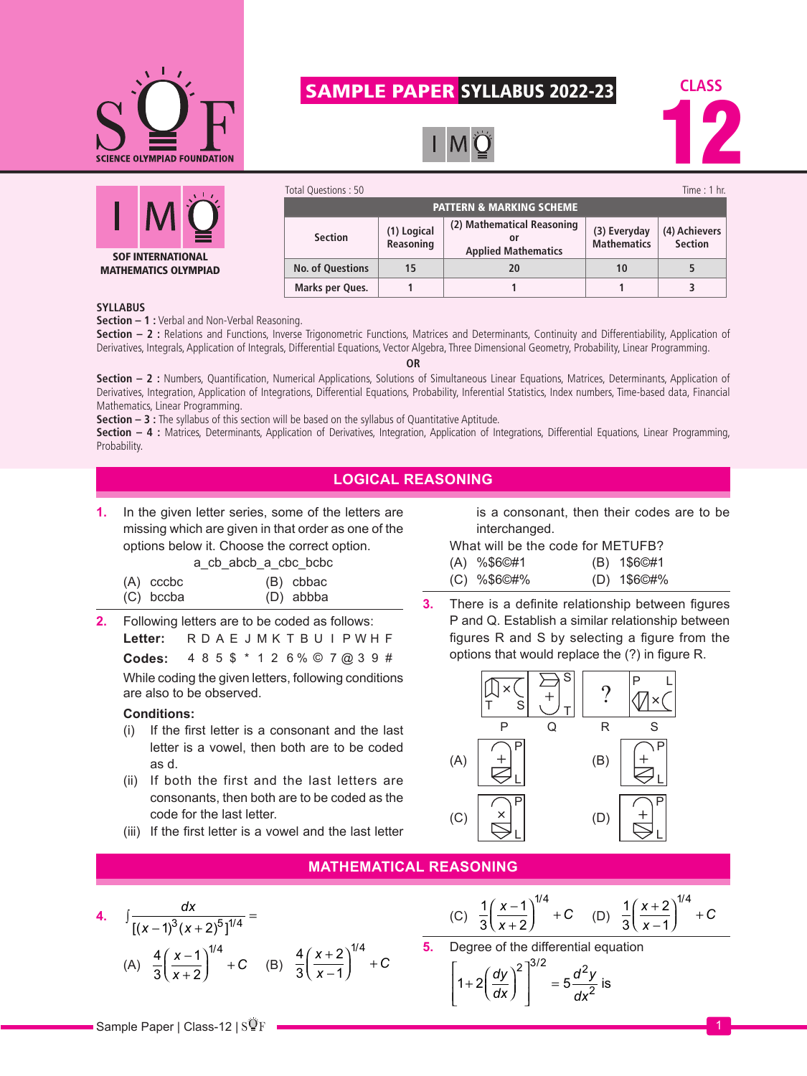

# SAMPLE PAPER SYLLABUS 2022-23





| Total Questions: 50                 |                          |                                                                |                                    | Time : $1$ hr.                  |
|-------------------------------------|--------------------------|----------------------------------------------------------------|------------------------------------|---------------------------------|
| <b>PATTERN &amp; MARKING SCHEME</b> |                          |                                                                |                                    |                                 |
| <b>Section</b>                      | (1) Logical<br>Reasoning | (2) Mathematical Reasoning<br>Ωľ<br><b>Applied Mathematics</b> | (3) Everyday<br><b>Mathematics</b> | (4) Achievers<br><b>Section</b> |
| <b>No. of Questions</b>             | 15                       | 20                                                             | 10                                 |                                 |
| Marks per Ques.                     |                          |                                                                |                                    |                                 |

#### **SYLLABUS**

**Section – 1 :** Verbal and Non-Verbal Reasoning.

Section - 2 : Relations and Functions, Inverse Trigonometric Functions, Matrices and Determinants, Continuity and Differentiability, Application of Derivatives, Integrals, Application of Integrals, Differential Equations, Vector Algebra, Three Dimensional Geometry, Probability, Linear Programming.

**OR**

Section - 2 : Numbers, Quantification, Numerical Applications, Solutions of Simultaneous Linear Equations, Matrices, Determinants, Application of Derivatives, Integration, Application of Integrations, Differential Equations, Probability, Inferential Statistics, Index numbers, Time-based data, Financial Mathematics, Linear Programming.

**Section – 3 :** The syllabus of this section will be based on the syllabus of Quantitative Aptitude.

**Section – 4 :** Matrices, Determinants, Application of Derivatives, Integration, Application of Integrations, Differential Equations, Linear Programming, Probability.

### **LOGICAL REASONING**

**1.** In the given letter series, some of the letters are missing which are given in that order as one of the options below it. Choose the correct option.

a cb abcb a cbc bcbc

| (A) cccbc | (B) cbbac |
|-----------|-----------|
| (C) bccba | (D) abbba |

**2.** Following letters are to be coded as follows: **Letter:** R D A E J M K T B U I P W H F

**Codes:** 4 8 5 \$ \* 1 2 6 % © 7 @ 3 9 #

While coding the given letters, following conditions are also to be observed.

#### **Conditions:**

- (i) If the first letter is a consonant and the last letter is a vowel, then both are to be coded as d.
- (ii) If both the first and the last letters are consonants, then both are to be coded as the code for the last letter.
- (iii) If the first letter is a vowel and the last letter

is a consonant, then their codes are to be interchanged.

What will be the code for METUFB?

|  | $(A)$ %\$6©#1 |  | (B) 1\$6©#1 |
|--|---------------|--|-------------|
|--|---------------|--|-------------|

- (C) %\$6©#% (D) 1\$6©#%
- **3.** There is a definite relationship between figures P and Q. Establish a similar relationship between figures R and S by selecting a figure from the options that would replace the (?) in figure R.



## **MATHEMATICAL REASONING**

4. 
$$
\int \frac{dx}{[(x-1)^3(x+2)^5]^{1/4}} =
$$
  
(A) 
$$
\frac{4}{3} \left(\frac{x-1}{x+2}\right)^{1/4} + C
$$
 (B) 
$$
\frac{4}{3} \left(\frac{x+2}{x-1}\right)^{1/4} + C
$$

(C) 
$$
\frac{1}{3} \left( \frac{x-1}{x+2} \right)^{1/4} + C
$$
 (D)  $\frac{1}{3} \left( \frac{x+2}{x-1} \right)^{1/4} + C$ 

**5.** Degree of the differential equation

$$
\left[1+2\left(\frac{dy}{dx}\right)^2\right]^{3/2} = 5\frac{d^2y}{dx^2}
$$
 is